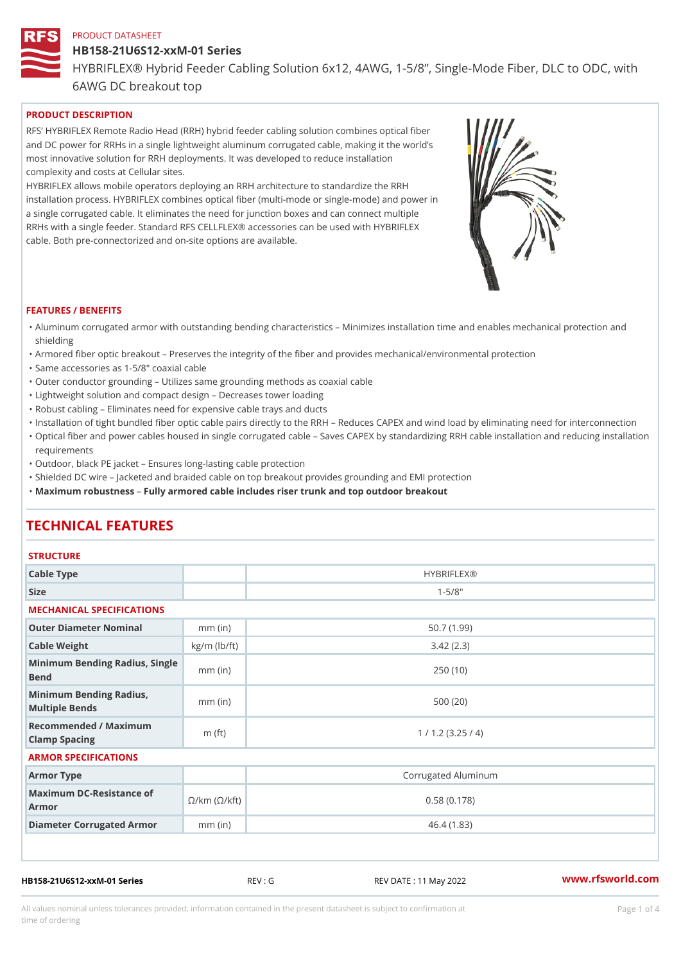#### HB158-21U6S12-xxM-01 Series

HYBRIFLEX® Hybrid Feeder Cabling Solution 6x12, 4AWG, 1-5/8, Sing

6AWG DC breakout top

# PRODUCT DESCRIPTION

RFS HYBRIFLEX Remote Radio Head (RRH) hybrid feeder cabling solution combines optical fibe and DC power for RRHs in a single lightweight aluminum corrugated cable, making it the world s most innovative solution for RRH deployments. It was developed to reduce installation complexity and costs at Cellular sites.

HYBRIFLEX allows mobile operators deploying an RRH architecture to standardize the RRH installation process. HYBRIFLEX combines optical fiber (multi-mode or single-mode) and power in a single corrugated cable. It eliminates the need for junction boxes and can connect multiple RRHs with a single feeder. Standard RFS CELLFLEX® accessories can be used with HYBRIFLEX cable. Both pre-connectorized and on-site options are available.

#### FEATURES / BENEFITS

- "Aluminum corrugated armor with outstanding bending characteristics Minimizes installation time a shielding
- "Armored fiber optic breakout Preserves the integrity of the fiber and provides mechanical/enviror
- "Same accessories as 1-5/8" coaxial cable
- "Outer conductor grounding Utilizes same grounding methods as coaxial cable
- "Lightweight solution and compact design Decreases tower loading
- "Robust cabling Eliminates need for expensive cable trays and ducts
- "Installation of tight bundled fiber optic cable pairs directly to the RRH  $\;$  Reduces CAPEX and wind "Optical fiber and power cables housed in single corrugated cable  $\,$  Saves CAPEX by standardiz $\,$ ng  $\,$ requirements
- "Outdoor, black PE jacket Ensures long-lasting cable protection
- "Shielded DC wire Jacketed and braided cable on top breakout provides grounding and EMI protec "Maximum robustness by armored cable includes riser trunk and top outdoor breakout

# TECHNICAL FEATURES

## **STRUCTURE**

| .                                                                                                         |                    |                     |  |  |  |  |  |  |
|-----------------------------------------------------------------------------------------------------------|--------------------|---------------------|--|--|--|--|--|--|
| Cable Type                                                                                                |                    | <b>HYBRIFLEX®</b>   |  |  |  |  |  |  |
| Size                                                                                                      |                    | $1 - 5/8$ "         |  |  |  |  |  |  |
| MECHANICAL SPECIFICATIONS                                                                                 |                    |                     |  |  |  |  |  |  |
| Outer Diameter Nominal                                                                                    | $mm$ (in)          | 50.7(1.99)          |  |  |  |  |  |  |
| Cable Weight                                                                                              | $kg/m$ ( $lb/ft$ ) | 3.42(2.3)           |  |  |  |  |  |  |
| Minimum Bending Radius, Single<br>Bend                                                                    |                    | 250(10)             |  |  |  |  |  |  |
| Minimum Bending Radius, mm (in)<br>Multiple Bends                                                         |                    | 500(20)             |  |  |  |  |  |  |
| Recommended / Maximum<br>Clamp Spacing                                                                    | m $(ft)$           | 1 / 1.2 (3.25 / 4)  |  |  |  |  |  |  |
| ARMOR SPECIFICATIONS                                                                                      |                    |                     |  |  |  |  |  |  |
| Armor Type                                                                                                |                    | Corrugated Aluminum |  |  |  |  |  |  |
| Maximum DC-Resistance $\mathcal{O}/\mathsf{k}\mathsf{m}$ ( $\mathcal{O}/\mathsf{k}\mathsf{ft}$ )<br>Armor |                    | 0.58(0.178)         |  |  |  |  |  |  |
| Diameter Corrugated Armomm (in)                                                                           |                    | 46.4 (1.83)         |  |  |  |  |  |  |
|                                                                                                           |                    |                     |  |  |  |  |  |  |

HB158-21U6S12-xxM-01 Series REV : G REV DATE : 11 May 2022 [www.](https://www.rfsworld.com)rfsworld.com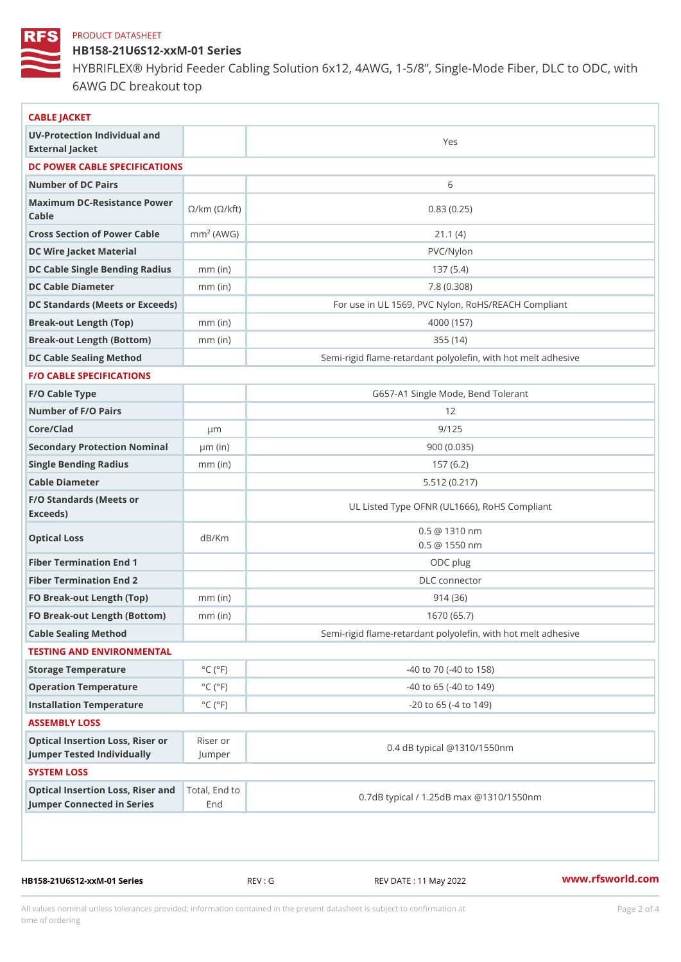HB158-21U6S12-xxM-01 Series

HYBRIFLEX® Hybrid Feeder Cabling Solution 6x12, 4AWG, 1-5/8, Sing 6AWG DC breakout top

| CABLE JACKET                                                                                                                    |                             |                                                          |
|---------------------------------------------------------------------------------------------------------------------------------|-----------------------------|----------------------------------------------------------|
| UV-Protection Individual and<br>External Jacket                                                                                 |                             | Yes                                                      |
| DC POWER CABLE SPECIFICATIONS                                                                                                   |                             |                                                          |
| Number of DC Pairs                                                                                                              |                             | 6                                                        |
| Maximum DC-Resistance $\bigotimes_{k=m}^{\infty}$ ( $\bigotimes_{k=m}^{\infty}$ /km ( $\bigotimes_{k=m}^{\infty}$ )<br>$C$ able |                             | 0.83(0.25)                                               |
| Cross Section of Power Cnamble (AWG)                                                                                            |                             | 21.1(4)                                                  |
| DC Wire Jacket Material                                                                                                         |                             | PVC/Nylon                                                |
| DC Cable Single Bending Rhandi(uish)                                                                                            |                             | 137(5.4)                                                 |
| DC Cable Diameter                                                                                                               | $mm$ (in)                   | 7.8(0.308)                                               |
| DC Standards (Meets or Exceeds)                                                                                                 |                             | For use in UL 1569, PVC Nylon, RoHS/REACH Compli         |
| Break-out Length (Top)                                                                                                          | $mm$ (in)                   | 4000 (157)                                               |
| Break-out Length (Bottcm)mm (in)                                                                                                |                             | 355(14)                                                  |
| DC Cable Sealing Method                                                                                                         |                             | Semi-rigid flame-retardant polyolefin, with hot melt adl |
| <b>F/O CABLE SPECIFICATIONS</b>                                                                                                 |                             |                                                          |
| F/O Cable Type                                                                                                                  |                             | G657-A1 Single Mode, Bend Tolerant                       |
| Number of F/O Pairs                                                                                                             |                             | 12                                                       |
| Core/Clad                                                                                                                       | μm                          | 9/125                                                    |
| Secondary Protection Nomimal(in)                                                                                                |                             | 900(0.035)                                               |
| Single Bending Radius                                                                                                           | $mm$ (in)                   | 157(6.2)                                                 |
| Cable Diameter                                                                                                                  |                             | 5.512(0.217)                                             |
| F/O Standards (Meets or<br>Exceeds)                                                                                             |                             | UL Listed Type OFNR (UL1666), RoHS Compliant             |
| Optical Loss                                                                                                                    | dB/Km                       | $0.5 \t@ 1310 nm$<br>$0.5 \t@ 1550 nm$                   |
| Fiber Termination End                                                                                                           |                             | ODC plug                                                 |
| Fiber Termination End 2                                                                                                         |                             | DLC connector                                            |
| FO Break-out Length (Top)mm (in)                                                                                                |                             | 914 (36)                                                 |
| FO Break-out Length (Bottomm) (in)                                                                                              |                             | 1670 (65.7)                                              |
| Cable Sealing Method                                                                                                            |                             | Semi-rigid flame-retardant polyolefin, with hot melt ad  |
| TESTING AND ENVIRONMENTAL                                                                                                       |                             |                                                          |
| Storage Temperature                                                                                                             | $^{\circ}$ C ( $^{\circ}$ F | $-40$ to $70$ ( $-40$ to $158$ )                         |
| Operation Temperature                                                                                                           | $^{\circ}$ C ( $^{\circ}$ F | $-40$ to 65 ( $-40$ to 149)                              |
| Installation Temperature                                                                                                        | $^{\circ}$ C ( $^{\circ}$ F | $-20$ to 65 ( $-4$ to 149)                               |
| ASSEMBLY LOSS                                                                                                                   |                             |                                                          |
| Optical Insertion Loss, Rikes earor<br>Jumper Tested IndividuallyJumper                                                         |                             | 0.4 dB typical @1310/1550nm                              |
| SYSTEM LOSS                                                                                                                     |                             |                                                          |
| Optical Insertion Loss, RTistearl, a Etch d to                                                                                  |                             | 0.7dB typical / 1.25dB max @1310/1550nm                  |

HB158-21U6S12-xxM-01 Series REV : G REV DATE : 11 May 2022 WWW.rfsworld.com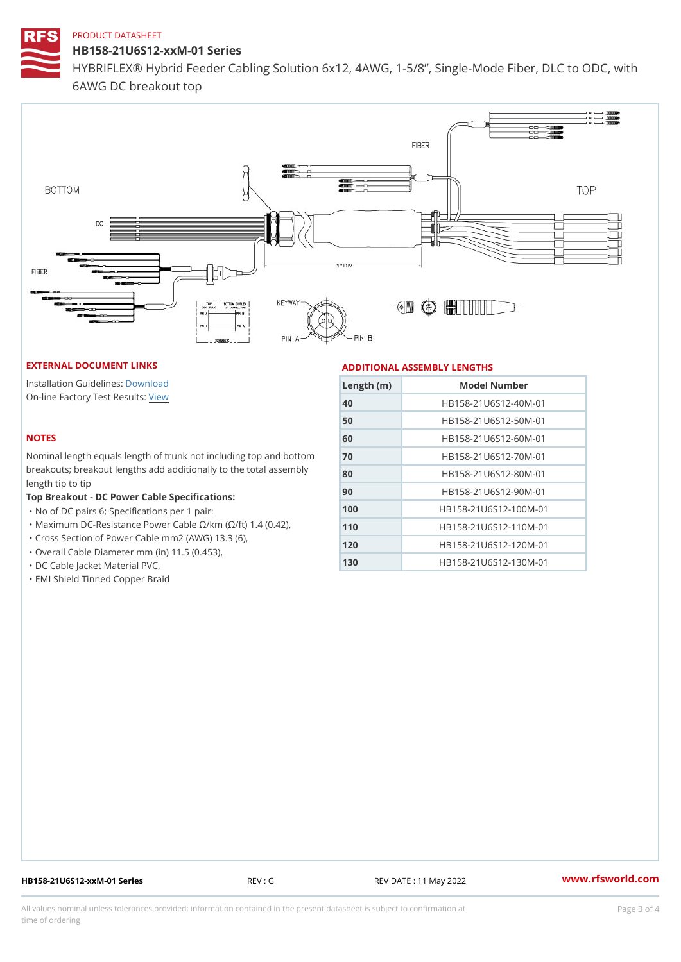HB158-21U6S12-xxM-01 Series

HYBRIFLEX® Hybrid Feeder Cabling Solution 6x12, 4AWG, 1-5/8, Sing 6AWG DC breakout top

#### EXTERNAL DOCUMENT LINKS

Installation Guidelwinessad On-line Factory Te[s](https://www.rfsworld.com/pictures/userfiles/programs/AAST Latest Version.zip)teRvesults:

#### NOTES

Nominal length equals length of trunk not includ breakouts; breakout lengths add additionally to length tip to tip

Top Breakout - DC Power Cable Specifications: "No of DC pairs 6; Specifications per 1 pair:

"Maximum DC-Resistance Power Cable !&/km (!&/

"Cross Section of Power Cable mm2 (AWG) 13.3

"Overall Cable Diameter mm (in) 11.5 (0.453),

"DC Cable Jacket Material PVC,

"EMI Shield Tinned Copper Braid

### ADDITIONAL ASSEMBLY LENGTHS

| $L$ ength ( $\ln$ ) | Model Number                  |
|---------------------|-------------------------------|
| 40                  | HB158-21U6S12-40M-01          |
| 50                  | HB158-21U6S12-50M-01          |
| 60                  | HB158-21U6S12-60M-01          |
| 70                  | nd bottHoBh158-21U6S12-70M-01 |
| 80                  |                               |
| 90                  | HB158-21U6S12-90M-01          |
| 100                 | HB158-21U6S12-100M-01         |
| 110                 | 42).<br>HB158-21U6S12-110M-01 |
| 120                 | HB158-21U6S12-120M-01         |
| 130                 | HB158-21U6S12-130M-01         |
|                     |                               |

HB158-21U6S12-xxM-01 Series REV: G REV DATE: 11 May 2022 WWW.rfsworld.com